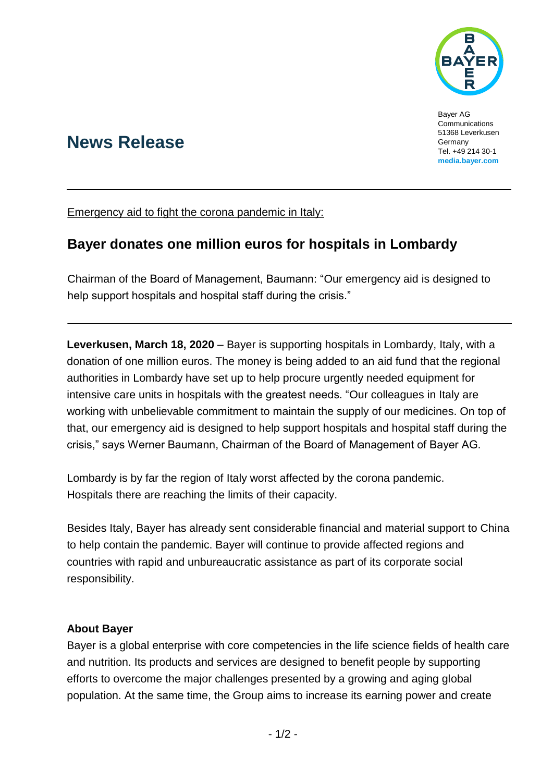

Bayer AG Communications 51368 Leverkusen **Germany** Tel. +49 214 30-1 **[media.bayer.com](http://media.bayer.de/)**

# **News Release**

Emergency aid to fight the corona pandemic in Italy:

## **Bayer donates one million euros for hospitals in Lombardy**

Chairman of the Board of Management, Baumann: "Our emergency aid is designed to help support hospitals and hospital staff during the crisis."

**Leverkusen, March 18, 2020** – Bayer is supporting hospitals in Lombardy, Italy, with a donation of one million euros. The money is being added to an aid fund that the regional authorities in Lombardy have set up to help procure urgently needed equipment for intensive care units in hospitals with the greatest needs. "Our colleagues in Italy are working with unbelievable commitment to maintain the supply of our medicines. On top of that, our emergency aid is designed to help support hospitals and hospital staff during the crisis," says Werner Baumann, Chairman of the Board of Management of Bayer AG.

Lombardy is by far the region of Italy worst affected by the corona pandemic. Hospitals there are reaching the limits of their capacity.

Besides Italy, Bayer has already sent considerable financial and material support to China to help contain the pandemic. Bayer will continue to provide affected regions and countries with rapid and unbureaucratic assistance as part of its corporate social responsibility.

### **About Bayer**

Bayer is a global enterprise with core competencies in the life science fields of health care and nutrition. Its products and services are designed to benefit people by supporting efforts to overcome the major challenges presented by a growing and aging global population. At the same time, the Group aims to increase its earning power and create